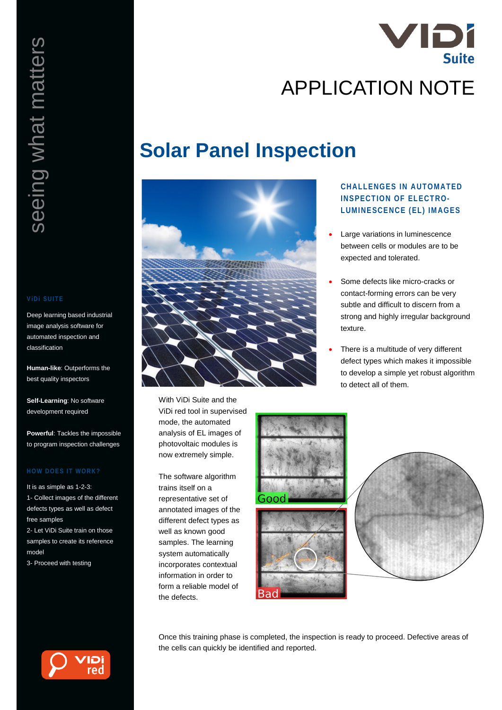

# **Solar Panel Inspection**



With ViDi Suite and the ViDi red tool in supervised mode, the automated analysis of EL images of photovoltaic modules is now extremely simple.

The software algorithm trains itself on a representative set of annotated images of the different defect types as well as known good samples. The learning system automatically incorporates contextual information in order to form a reliable model of the defects.

# **CHALLENGES IN AUTOMATED INSPECTION OF ELECTRO-LUMINESCENCE (EL) IMAGES**

- Large variations in luminescence between cells or modules are to be expected and tolerated.
- Some defects like micro-cracks or contact-forming errors can be very subtle and difficult to discern from a strong and highly irregular background texture.
- There is a multitude of very different defect types which makes it impossible to develop a simple yet robust algorithm to detect all of them.





Once this training phase is completed, the inspection is ready to proceed. Defective areas of the cells can quickly be identified and reported.

Deep learning based industrial image analysis software for automated inspection and classification

**Human-like**: Outperforms the best quality inspectors

**Self-Learning**: No software development required

**Powerful**: Tackles the impossible to program inspection challenges

It is as simple as 1-2-3: 1- Collect images of the different defects types as well as defect free samples 2- Let ViDi Suite train on those

samples to create its reference model

3- Proceed with testing